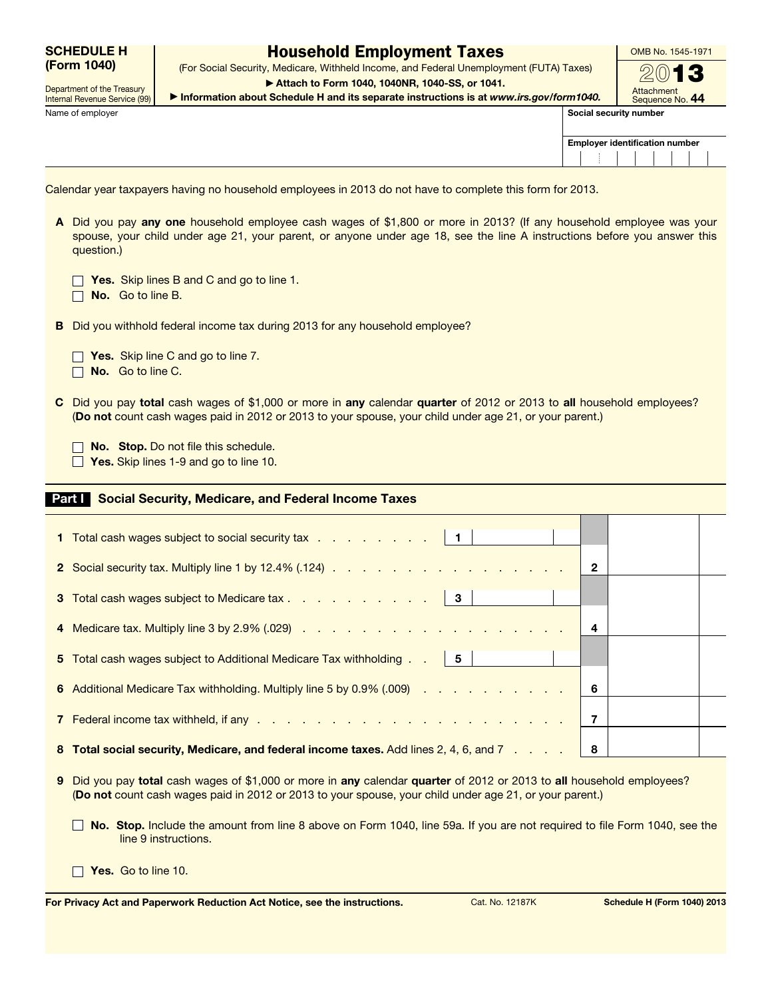|             | <b>SCHEDULE H</b> |
|-------------|-------------------|
| (Form 1040) |                   |

Department of the Treasury

## Household Employment Taxes

(For Social Security, Medicare, Withheld Income, and Federal Unemployment (FUTA) Taxes) ▶ Attach to Form 1040, 1040NR, 1040-SS, or 1041.

OMB No. 1545-1971  $\omega$ 

Internal Revenue Service (99) Name of employer Social security number of employer Social security number of employer  $\vert$  Social security number of  $\vert$ 

 $\Box$ 

| ► Attach to Form 1040, 1040NR, 1040-SS, or 1041.                                     |
|--------------------------------------------------------------------------------------|
| Information about Schedule H and its separate instructions is at www.irs.gov/form104 |

| 40. | ,,,,,,,,,,,,,,,,<br>Sequence No. 44 |
|-----|-------------------------------------|
|     | al security number                  |

**Attachment** 

| <b>Employer identification number</b> |  |  |  |  |  |  |  |
|---------------------------------------|--|--|--|--|--|--|--|
|                                       |  |  |  |  |  |  |  |

Calendar year taxpayers having no household employees in 2013 do not have to complete this form for 2013.

A Did you pay any one household employee cash wages of \$1,800 or more in 2013? (If any household employee was your spouse, your child under age 21, your parent, or anyone under age 18, see the line A instructions before you answer this question.)

| Yes. Skip lines B and C and go to line 1. |  |  |  |
|-------------------------------------------|--|--|--|
|                                           |  |  |  |

 $\Box$  No. Go to line B.

B Did you withhold federal income tax during 2013 for any household employee?

 $\Box$  Yes. Skip line C and go to line 7.

No. Go to line C.

C Did you pay total cash wages of \$1,000 or more in any calendar quarter of 2012 or 2013 to all household employees? (Do not count cash wages paid in 2012 or 2013 to your spouse, your child under age 21, or your parent.)

No. Stop. Do not file this schedule.

 $\Box$  Yes. Skip lines 1-9 and go to line 10.

## Part I Social Security, Medicare, and Federal Income Taxes

| 1 Total cash wages subject to social security tax   1                                 |   |  |
|---------------------------------------------------------------------------------------|---|--|
|                                                                                       | 2 |  |
| 3 Total cash wages subject to Medicare tax 3                                          |   |  |
|                                                                                       | 4 |  |
| 5 Total cash wages subject to Additional Medicare Tax withholding   5                 |   |  |
| 6 Additional Medicare Tax withholding. Multiply line 5 by 0.9% (.009)                 | 6 |  |
|                                                                                       | 7 |  |
| 8 Total social security, Medicare, and federal income taxes. Add lines 2, 4, 6, and 7 | 8 |  |

- 9 Did you pay total cash wages of \$1,000 or more in any calendar quarter of 2012 or 2013 to all household employees? (Do not count cash wages paid in 2012 or 2013 to your spouse, your child under age 21, or your parent.)
	- No. Stop. Include the amount from line 8 above on Form 1040, line 59a. If you are not required to file Form 1040, see the line 9 instructions.

 $\Box$  Yes. Go to line 10.

For Privacy Act and Paperwork Reduction Act Notice, see the instructions. Cat. No. 12187K Schedule H (Form 1040) 2013